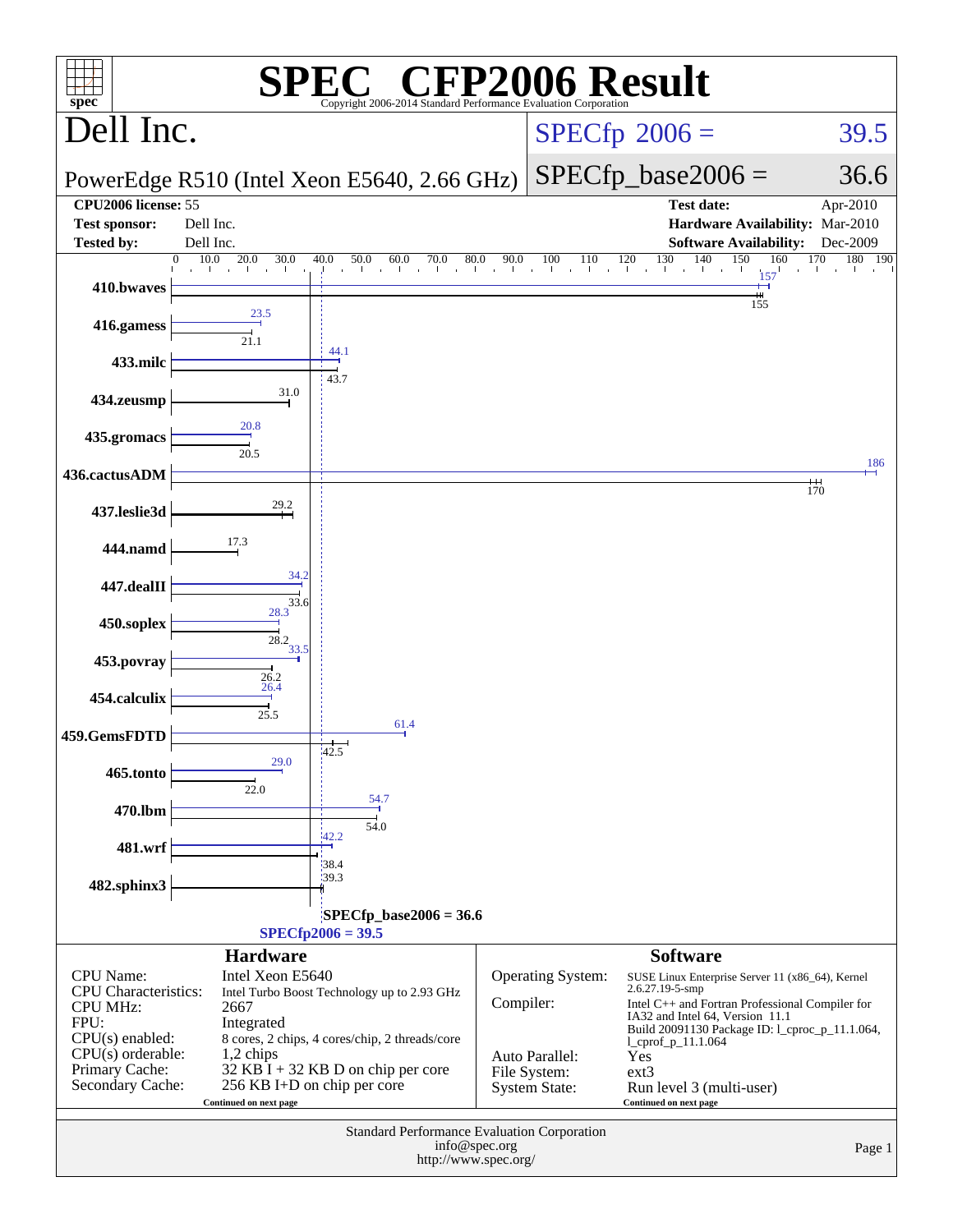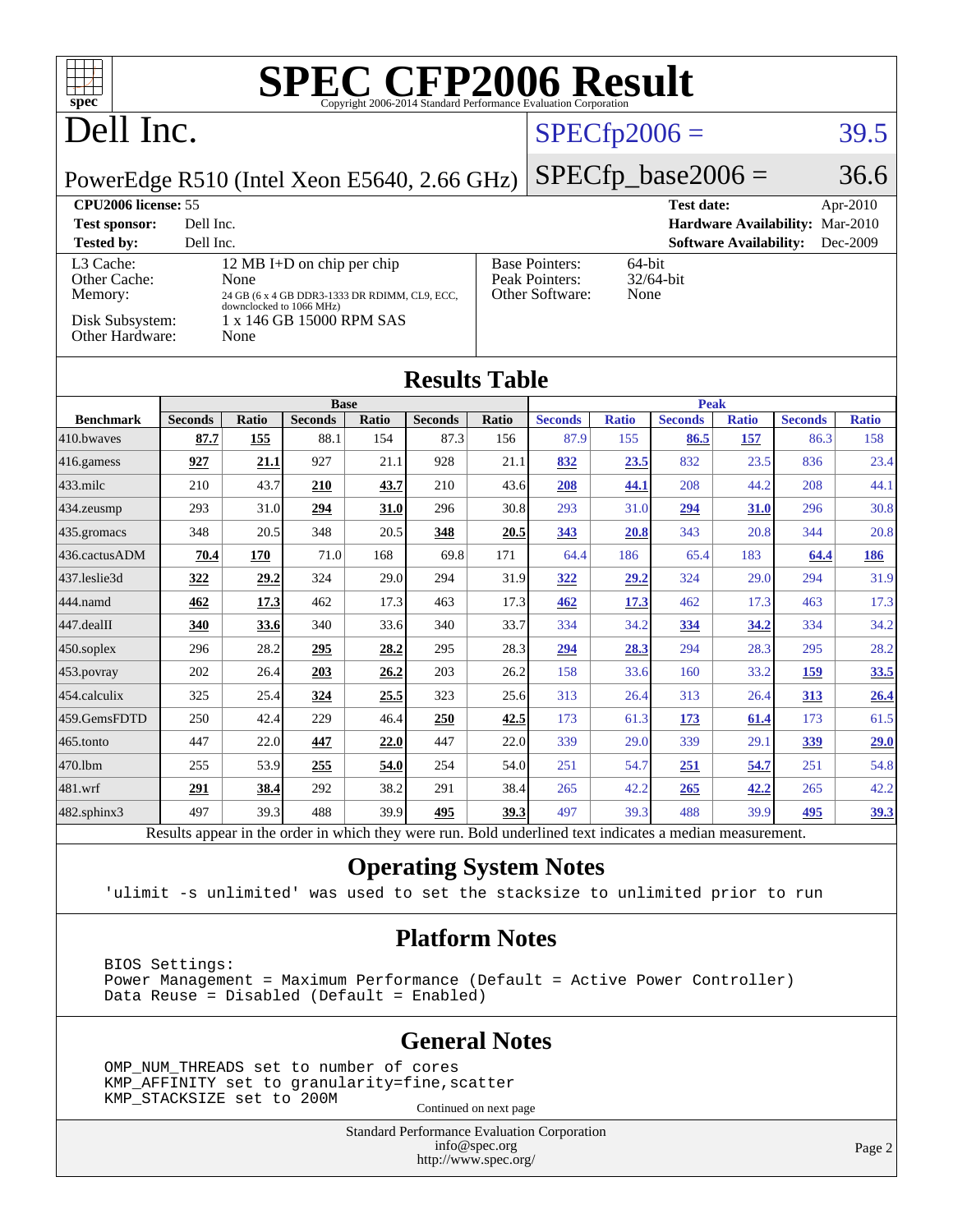| <b>SPEC CFP2006 Result</b><br>$\overline{\phantom{a}}$<br>$spec^{\circ}$<br>Copyright 2006-2014 Standard Performance Evaluation Corporation |                                                                                                          |                          |                                               |              |                        |                                                                |                        |                     |                        |                     |                        |                     |
|---------------------------------------------------------------------------------------------------------------------------------------------|----------------------------------------------------------------------------------------------------------|--------------------------|-----------------------------------------------|--------------|------------------------|----------------------------------------------------------------|------------------------|---------------------|------------------------|---------------------|------------------------|---------------------|
| Dell Inc.                                                                                                                                   |                                                                                                          |                          |                                               |              |                        | $SPECfp2006 =$                                                 |                        |                     |                        |                     | 39.5                   |                     |
| $SPECfp\_base2006 =$<br>36.6<br>PowerEdge R510 (Intel Xeon E5640, 2.66 GHz)                                                                 |                                                                                                          |                          |                                               |              |                        |                                                                |                        |                     |                        |                     |                        |                     |
| CPU2006 license: 55<br><b>Test date:</b><br>Apr-2010                                                                                        |                                                                                                          |                          |                                               |              |                        |                                                                |                        |                     |                        |                     |                        |                     |
| Dell Inc.<br>Hardware Availability: Mar-2010<br><b>Test sponsor:</b>                                                                        |                                                                                                          |                          |                                               |              |                        |                                                                |                        |                     |                        |                     |                        |                     |
| <b>Tested by:</b>                                                                                                                           | Dell Inc.<br>Dec-2009<br><b>Software Availability:</b>                                                   |                          |                                               |              |                        |                                                                |                        |                     |                        |                     |                        |                     |
| L <sub>3</sub> Cache:<br>12 MB I+D on chip per chip<br>Other Cache:<br>None                                                                 |                                                                                                          |                          |                                               |              |                        | <b>Base Pointers:</b><br>64-bit<br>Peak Pointers:<br>32/64-bit |                        |                     |                        |                     |                        |                     |
| Memory:                                                                                                                                     |                                                                                                          | downclocked to 1066 MHz) | 24 GB (6 x 4 GB DDR3-1333 DR RDIMM, CL9, ECC, |              |                        |                                                                | Other Software:        | None                |                        |                     |                        |                     |
| Disk Subsystem:<br>1 x 146 GB 15000 RPM SAS<br>Other Hardware:<br>None                                                                      |                                                                                                          |                          |                                               |              |                        |                                                                |                        |                     |                        |                     |                        |                     |
| <b>Results Table</b>                                                                                                                        |                                                                                                          |                          |                                               |              |                        |                                                                |                        |                     |                        |                     |                        |                     |
|                                                                                                                                             |                                                                                                          |                          | <b>Base</b>                                   |              |                        |                                                                |                        |                     | <b>Peak</b>            |                     |                        |                     |
| <b>Benchmark</b><br>410.bwaves                                                                                                              | <b>Seconds</b><br>87.7                                                                                   | Ratio<br>155             | <b>Seconds</b><br>88.1                        | Ratio<br>154 | <b>Seconds</b><br>87.3 | Ratio<br>156                                                   | <b>Seconds</b><br>87.9 | <b>Ratio</b><br>155 | <b>Seconds</b><br>86.5 | <b>Ratio</b><br>157 | <b>Seconds</b><br>86.3 | <b>Ratio</b><br>158 |
|                                                                                                                                             |                                                                                                          |                          |                                               |              |                        |                                                                |                        |                     |                        |                     |                        |                     |
| 416.gamess                                                                                                                                  | 927                                                                                                      | 21.1                     | 927                                           | 21.1         | 928                    | 21.1                                                           | 832                    | 23.5                | 832                    | 23.5                | 836                    | 23.4                |
| 433.milc                                                                                                                                    | 210                                                                                                      | 43.7                     | 210                                           | 43.7         | 210                    | 43.6                                                           | 208                    | 44.1                | 208                    | 44.2                | 208                    | 44.1                |
| 434.zeusmp                                                                                                                                  | 293                                                                                                      | 31.0                     | 294                                           | 31.0         | 296                    | 30.8                                                           | 293                    | 31.0                | 294                    | 31.0                | 296                    | 30.8                |
| 435.gromacs                                                                                                                                 | 348                                                                                                      | 20.5                     | 348                                           | 20.5         | 348                    | 20.5                                                           | 343                    | 20.8                | 343                    | 20.8                | 344                    | 20.8                |
| 436.cactusADM                                                                                                                               | 70.4                                                                                                     | 170                      | 71.0                                          | 168          | 69.8                   | 171                                                            | 64.4                   | 186                 | 65.4                   | 183                 | 64.4                   | 186                 |
| 437.leslie3d                                                                                                                                | 322                                                                                                      | 29.2                     | 324                                           | 29.0         | 294                    | 31.9                                                           | 322                    | 29.2                | 324                    | 29.0                | 294                    | 31.9                |
| 444.namd                                                                                                                                    | 462                                                                                                      | 17.3                     | 462                                           | 17.3         | 463                    | 17.3                                                           | 462                    | <b>17.3</b>         | 462                    | 17.3                | 463                    | 17.3                |
| 447.dealII                                                                                                                                  | 340                                                                                                      | 33.6                     | 340                                           | 33.6         | 340                    | 33.7                                                           | 334                    | 34.2                | 334                    | 34.2                | 334                    | 34.2                |
| $450$ .soplex                                                                                                                               | 296                                                                                                      | 28.2                     | 295                                           | 28.2         | 295                    | 28.3                                                           | 294                    | 28.3                | 294                    | 28.3                | 295                    | 28.2                |
| $ 453$ . povray                                                                                                                             | 202                                                                                                      | 26.4                     | 203                                           | 26.2         | 203                    | 26.2                                                           | 158                    | 33.6                | 160                    | 33.2                | 159                    | 33.5                |
| 454.calculix                                                                                                                                | 325                                                                                                      | 25.4                     | 324                                           | 25.5         | 323                    | 25.6                                                           | 313                    | 26.4                | 313                    | 26.4                | 313                    | 26.4                |
| 459.GemsFDTD                                                                                                                                | 250                                                                                                      | 42.4                     | 229                                           | 46.4         | 250                    | 42.5                                                           | 173                    | 61.3                | 173                    | 61.4                | 173                    | 61.5                |
| 465.tonto                                                                                                                                   | 447                                                                                                      | 22.0                     | 447                                           | 22.0         | 447                    | 22.0                                                           | 339                    | 29.0                | 339                    | 29.1                | 339                    | 29.0                |
| 470.1bm                                                                                                                                     | 255                                                                                                      | 53.9                     | 255                                           | 54.0         | 254                    | 54.0                                                           | 251                    | 54.7                | 251                    | 54.7                | 251                    | 54.8                |
| 481.wrf                                                                                                                                     | 291                                                                                                      | 38.4                     | 292                                           | 38.2         | 291                    | 38.4                                                           | 265                    | 42.2                | 265                    | 42.2                | 265                    | 42.2                |
| 482.sphinx3                                                                                                                                 | 497                                                                                                      | 39.3                     | 488                                           | 39.9         | 495                    | 39.3                                                           | 497                    | 39.3                | 488                    | 39.9                | 495                    | 39.3                |
|                                                                                                                                             | Results appear in the order in which they were run. Bold underlined text indicates a median measurement. |                          |                                               |              |                        |                                                                |                        |                     |                        |                     |                        |                     |

#### **[Operating System Notes](http://www.spec.org/auto/cpu2006/Docs/result-fields.html#OperatingSystemNotes)**

'ulimit -s unlimited' was used to set the stacksize to unlimited prior to run

#### **[Platform Notes](http://www.spec.org/auto/cpu2006/Docs/result-fields.html#PlatformNotes)**

 BIOS Settings: Power Management = Maximum Performance (Default = Active Power Controller) Data Reuse = Disabled (Default = Enabled)

#### **[General Notes](http://www.spec.org/auto/cpu2006/Docs/result-fields.html#GeneralNotes)**

 OMP\_NUM\_THREADS set to number of cores KMP\_AFFINITY set to granularity=fine,scatter KMP\_STACKSIZE set to 200M

Continued on next page

Standard Performance Evaluation Corporation [info@spec.org](mailto:info@spec.org) <http://www.spec.org/>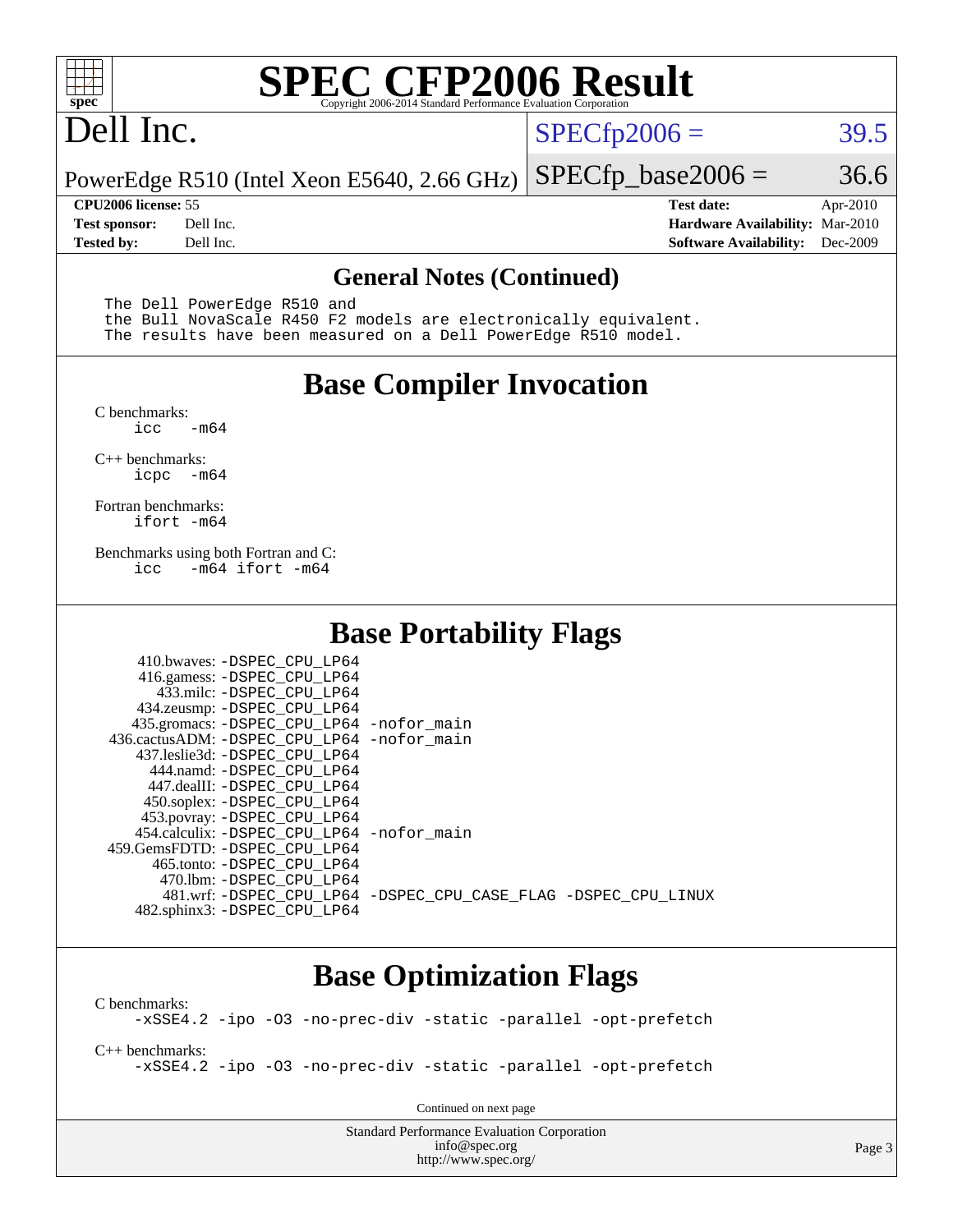

# **[SPEC CFP2006 Result](http://www.spec.org/auto/cpu2006/Docs/result-fields.html#SPECCFP2006Result)**

# Dell Inc.

 $SPECTp2006 = 39.5$ 

PowerEdge R510 (Intel Xeon E5640, 2.66 GHz)  $SPECTp\_base2006 = 36.6$ 

**[CPU2006 license:](http://www.spec.org/auto/cpu2006/Docs/result-fields.html#CPU2006license)** 55 **[Test date:](http://www.spec.org/auto/cpu2006/Docs/result-fields.html#Testdate)** Apr-2010 **[Test sponsor:](http://www.spec.org/auto/cpu2006/Docs/result-fields.html#Testsponsor)** Dell Inc. **[Hardware Availability:](http://www.spec.org/auto/cpu2006/Docs/result-fields.html#HardwareAvailability)** Mar-2010 **[Tested by:](http://www.spec.org/auto/cpu2006/Docs/result-fields.html#Testedby)** Dell Inc. **[Software Availability:](http://www.spec.org/auto/cpu2006/Docs/result-fields.html#SoftwareAvailability)** Dec-2009

#### **[General Notes \(Continued\)](http://www.spec.org/auto/cpu2006/Docs/result-fields.html#GeneralNotes)**

The Dell PowerEdge R510 and

 the Bull NovaScale R450 F2 models are electronically equivalent. The results have been measured on a Dell PowerEdge R510 model.

#### **[Base Compiler Invocation](http://www.spec.org/auto/cpu2006/Docs/result-fields.html#BaseCompilerInvocation)**

[C benchmarks](http://www.spec.org/auto/cpu2006/Docs/result-fields.html#Cbenchmarks):  $-m64$ 

[C++ benchmarks:](http://www.spec.org/auto/cpu2006/Docs/result-fields.html#CXXbenchmarks) [icpc -m64](http://www.spec.org/cpu2006/results/res2010q3/cpu2006-20100913-13213.flags.html#user_CXXbase_intel_icpc_64bit_bedb90c1146cab66620883ef4f41a67e)

[Fortran benchmarks](http://www.spec.org/auto/cpu2006/Docs/result-fields.html#Fortranbenchmarks): [ifort -m64](http://www.spec.org/cpu2006/results/res2010q3/cpu2006-20100913-13213.flags.html#user_FCbase_intel_ifort_64bit_ee9d0fb25645d0210d97eb0527dcc06e)

[Benchmarks using both Fortran and C](http://www.spec.org/auto/cpu2006/Docs/result-fields.html#BenchmarksusingbothFortranandC): [icc -m64](http://www.spec.org/cpu2006/results/res2010q3/cpu2006-20100913-13213.flags.html#user_CC_FCbase_intel_icc_64bit_0b7121f5ab7cfabee23d88897260401c) [ifort -m64](http://www.spec.org/cpu2006/results/res2010q3/cpu2006-20100913-13213.flags.html#user_CC_FCbase_intel_ifort_64bit_ee9d0fb25645d0210d97eb0527dcc06e)

#### **[Base Portability Flags](http://www.spec.org/auto/cpu2006/Docs/result-fields.html#BasePortabilityFlags)**

| 410.bwaves: -DSPEC CPU LP64                  |                                                                |
|----------------------------------------------|----------------------------------------------------------------|
| 416.gamess: -DSPEC_CPU_LP64                  |                                                                |
| 433.milc: -DSPEC CPU LP64                    |                                                                |
| 434.zeusmp: -DSPEC_CPU_LP64                  |                                                                |
| 435.gromacs: -DSPEC_CPU_LP64 -nofor_main     |                                                                |
| 436.cactusADM: - DSPEC CPU LP64 - nofor main |                                                                |
| 437.leslie3d: -DSPEC CPU LP64                |                                                                |
| 444.namd: -DSPEC CPU LP64                    |                                                                |
| 447.dealII: -DSPEC CPU LP64                  |                                                                |
| 450.soplex: -DSPEC_CPU_LP64                  |                                                                |
| 453.povray: -DSPEC_CPU_LP64                  |                                                                |
| 454.calculix: - DSPEC CPU LP64 - nofor main  |                                                                |
| 459.GemsFDTD: -DSPEC_CPU LP64                |                                                                |
| 465.tonto: - DSPEC CPU LP64                  |                                                                |
| 470.1bm: - DSPEC CPU LP64                    |                                                                |
|                                              | 481.wrf: -DSPEC CPU_LP64 -DSPEC_CPU_CASE_FLAG -DSPEC_CPU_LINUX |
| 482.sphinx3: -DSPEC_CPU_LP64                 |                                                                |

#### **[Base Optimization Flags](http://www.spec.org/auto/cpu2006/Docs/result-fields.html#BaseOptimizationFlags)**

[C benchmarks](http://www.spec.org/auto/cpu2006/Docs/result-fields.html#Cbenchmarks): [-xSSE4.2](http://www.spec.org/cpu2006/results/res2010q3/cpu2006-20100913-13213.flags.html#user_CCbase_f-xSSE42_f91528193cf0b216347adb8b939d4107) [-ipo](http://www.spec.org/cpu2006/results/res2010q3/cpu2006-20100913-13213.flags.html#user_CCbase_f-ipo) [-O3](http://www.spec.org/cpu2006/results/res2010q3/cpu2006-20100913-13213.flags.html#user_CCbase_f-O3) [-no-prec-div](http://www.spec.org/cpu2006/results/res2010q3/cpu2006-20100913-13213.flags.html#user_CCbase_f-no-prec-div) [-static](http://www.spec.org/cpu2006/results/res2010q3/cpu2006-20100913-13213.flags.html#user_CCbase_f-static) [-parallel](http://www.spec.org/cpu2006/results/res2010q3/cpu2006-20100913-13213.flags.html#user_CCbase_f-parallel) [-opt-prefetch](http://www.spec.org/cpu2006/results/res2010q3/cpu2006-20100913-13213.flags.html#user_CCbase_f-opt-prefetch)

[C++ benchmarks:](http://www.spec.org/auto/cpu2006/Docs/result-fields.html#CXXbenchmarks) [-xSSE4.2](http://www.spec.org/cpu2006/results/res2010q3/cpu2006-20100913-13213.flags.html#user_CXXbase_f-xSSE42_f91528193cf0b216347adb8b939d4107) [-ipo](http://www.spec.org/cpu2006/results/res2010q3/cpu2006-20100913-13213.flags.html#user_CXXbase_f-ipo) [-O3](http://www.spec.org/cpu2006/results/res2010q3/cpu2006-20100913-13213.flags.html#user_CXXbase_f-O3) [-no-prec-div](http://www.spec.org/cpu2006/results/res2010q3/cpu2006-20100913-13213.flags.html#user_CXXbase_f-no-prec-div) [-static](http://www.spec.org/cpu2006/results/res2010q3/cpu2006-20100913-13213.flags.html#user_CXXbase_f-static) [-parallel](http://www.spec.org/cpu2006/results/res2010q3/cpu2006-20100913-13213.flags.html#user_CXXbase_f-parallel) [-opt-prefetch](http://www.spec.org/cpu2006/results/res2010q3/cpu2006-20100913-13213.flags.html#user_CXXbase_f-opt-prefetch)

Continued on next page

Standard Performance Evaluation Corporation [info@spec.org](mailto:info@spec.org) <http://www.spec.org/>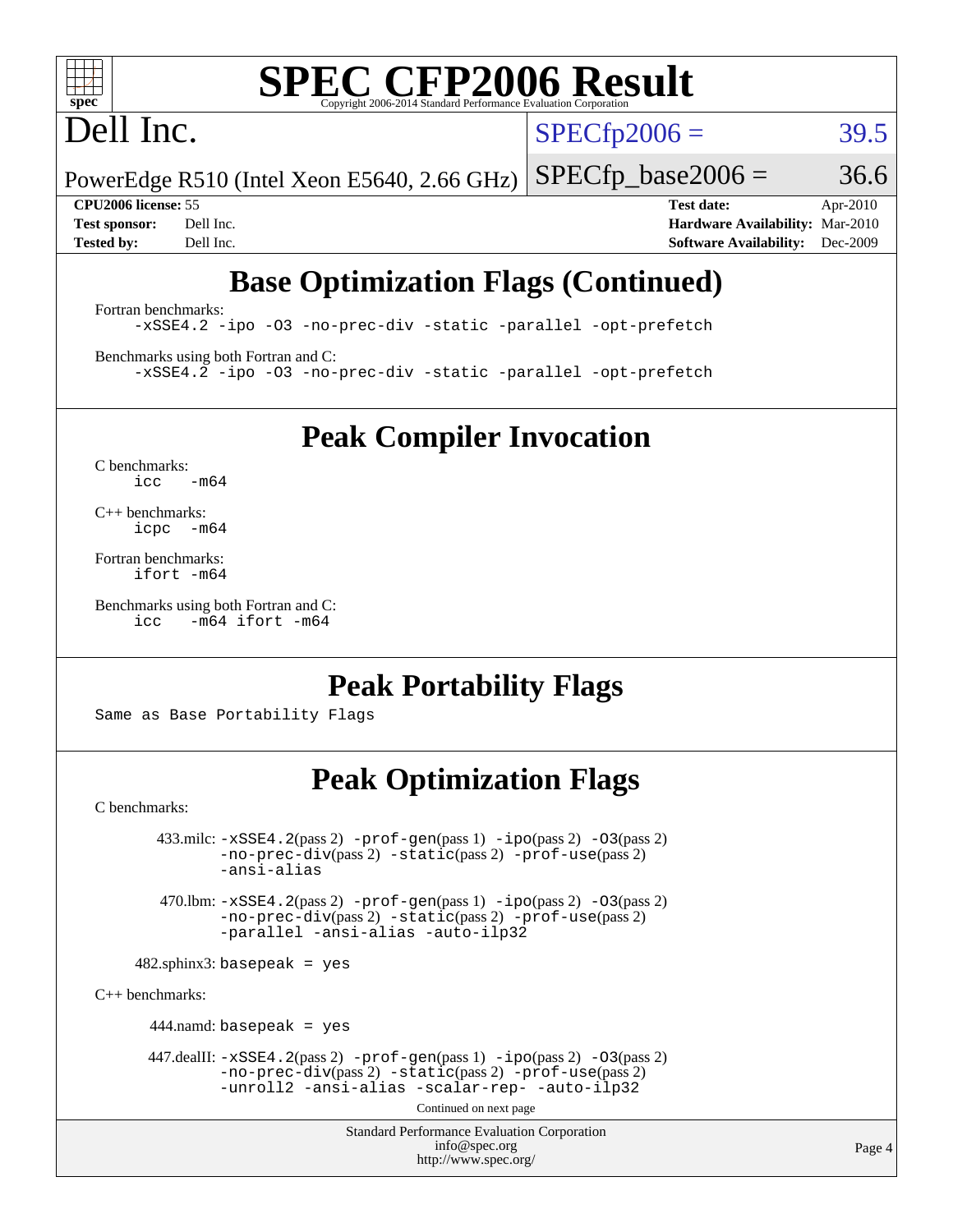# **[SPEC CFP2006 Result](http://www.spec.org/auto/cpu2006/Docs/result-fields.html#SPECCFP2006Result)**

# Dell Inc.

 $SPECTp2006 = 39.5$ 

PowerEdge R510 (Intel Xeon E5640, 2.66 GHz)  $SPECTp\_base2006 = 36.6$ 

**[CPU2006 license:](http://www.spec.org/auto/cpu2006/Docs/result-fields.html#CPU2006license)** 55 **[Test date:](http://www.spec.org/auto/cpu2006/Docs/result-fields.html#Testdate)** Apr-2010 **[Test sponsor:](http://www.spec.org/auto/cpu2006/Docs/result-fields.html#Testsponsor)** Dell Inc. **[Hardware Availability:](http://www.spec.org/auto/cpu2006/Docs/result-fields.html#HardwareAvailability)** Mar-2010 **[Tested by:](http://www.spec.org/auto/cpu2006/Docs/result-fields.html#Testedby)** Dell Inc. **[Software Availability:](http://www.spec.org/auto/cpu2006/Docs/result-fields.html#SoftwareAvailability)** Dec-2009

## **[Base Optimization Flags \(Continued\)](http://www.spec.org/auto/cpu2006/Docs/result-fields.html#BaseOptimizationFlags)**

[Fortran benchmarks](http://www.spec.org/auto/cpu2006/Docs/result-fields.html#Fortranbenchmarks): [-xSSE4.2](http://www.spec.org/cpu2006/results/res2010q3/cpu2006-20100913-13213.flags.html#user_FCbase_f-xSSE42_f91528193cf0b216347adb8b939d4107) [-ipo](http://www.spec.org/cpu2006/results/res2010q3/cpu2006-20100913-13213.flags.html#user_FCbase_f-ipo) [-O3](http://www.spec.org/cpu2006/results/res2010q3/cpu2006-20100913-13213.flags.html#user_FCbase_f-O3) [-no-prec-div](http://www.spec.org/cpu2006/results/res2010q3/cpu2006-20100913-13213.flags.html#user_FCbase_f-no-prec-div) [-static](http://www.spec.org/cpu2006/results/res2010q3/cpu2006-20100913-13213.flags.html#user_FCbase_f-static) [-parallel](http://www.spec.org/cpu2006/results/res2010q3/cpu2006-20100913-13213.flags.html#user_FCbase_f-parallel) [-opt-prefetch](http://www.spec.org/cpu2006/results/res2010q3/cpu2006-20100913-13213.flags.html#user_FCbase_f-opt-prefetch)

[Benchmarks using both Fortran and C](http://www.spec.org/auto/cpu2006/Docs/result-fields.html#BenchmarksusingbothFortranandC): [-xSSE4.2](http://www.spec.org/cpu2006/results/res2010q3/cpu2006-20100913-13213.flags.html#user_CC_FCbase_f-xSSE42_f91528193cf0b216347adb8b939d4107) [-ipo](http://www.spec.org/cpu2006/results/res2010q3/cpu2006-20100913-13213.flags.html#user_CC_FCbase_f-ipo) [-O3](http://www.spec.org/cpu2006/results/res2010q3/cpu2006-20100913-13213.flags.html#user_CC_FCbase_f-O3) [-no-prec-div](http://www.spec.org/cpu2006/results/res2010q3/cpu2006-20100913-13213.flags.html#user_CC_FCbase_f-no-prec-div) [-static](http://www.spec.org/cpu2006/results/res2010q3/cpu2006-20100913-13213.flags.html#user_CC_FCbase_f-static) [-parallel](http://www.spec.org/cpu2006/results/res2010q3/cpu2006-20100913-13213.flags.html#user_CC_FCbase_f-parallel) [-opt-prefetch](http://www.spec.org/cpu2006/results/res2010q3/cpu2006-20100913-13213.flags.html#user_CC_FCbase_f-opt-prefetch)

**[Peak Compiler Invocation](http://www.spec.org/auto/cpu2006/Docs/result-fields.html#PeakCompilerInvocation)**

[C benchmarks](http://www.spec.org/auto/cpu2006/Docs/result-fields.html#Cbenchmarks):  $icc$   $-m64$ 

[C++ benchmarks:](http://www.spec.org/auto/cpu2006/Docs/result-fields.html#CXXbenchmarks) [icpc -m64](http://www.spec.org/cpu2006/results/res2010q3/cpu2006-20100913-13213.flags.html#user_CXXpeak_intel_icpc_64bit_bedb90c1146cab66620883ef4f41a67e)

[Fortran benchmarks](http://www.spec.org/auto/cpu2006/Docs/result-fields.html#Fortranbenchmarks): [ifort -m64](http://www.spec.org/cpu2006/results/res2010q3/cpu2006-20100913-13213.flags.html#user_FCpeak_intel_ifort_64bit_ee9d0fb25645d0210d97eb0527dcc06e)

[Benchmarks using both Fortran and C](http://www.spec.org/auto/cpu2006/Docs/result-fields.html#BenchmarksusingbothFortranandC): [icc -m64](http://www.spec.org/cpu2006/results/res2010q3/cpu2006-20100913-13213.flags.html#user_CC_FCpeak_intel_icc_64bit_0b7121f5ab7cfabee23d88897260401c) [ifort -m64](http://www.spec.org/cpu2006/results/res2010q3/cpu2006-20100913-13213.flags.html#user_CC_FCpeak_intel_ifort_64bit_ee9d0fb25645d0210d97eb0527dcc06e)

### **[Peak Portability Flags](http://www.spec.org/auto/cpu2006/Docs/result-fields.html#PeakPortabilityFlags)**

Same as Base Portability Flags

## **[Peak Optimization Flags](http://www.spec.org/auto/cpu2006/Docs/result-fields.html#PeakOptimizationFlags)**

[C benchmarks](http://www.spec.org/auto/cpu2006/Docs/result-fields.html#Cbenchmarks):

 $433 \text{.}$ milc:  $-xSSE4$ .  $2(pass 2)$  - $prof-gen(pass 1)$  - $ipo(pass 2)$  [-O3](http://www.spec.org/cpu2006/results/res2010q3/cpu2006-20100913-13213.flags.html#user_peakPASS2_CFLAGSPASS2_LDFLAGS433_milc_f-O3) $(pass 2)$ [-no-prec-div](http://www.spec.org/cpu2006/results/res2010q3/cpu2006-20100913-13213.flags.html#user_peakPASS2_CFLAGSPASS2_LDFLAGS433_milc_f-no-prec-div)(pass 2) [-static](http://www.spec.org/cpu2006/results/res2010q3/cpu2006-20100913-13213.flags.html#user_peakPASS2_CFLAGSPASS2_LDFLAGS433_milc_f-static)(pass 2) [-prof-use](http://www.spec.org/cpu2006/results/res2010q3/cpu2006-20100913-13213.flags.html#user_peakPASS2_CFLAGSPASS2_LDFLAGS433_milc_prof_use_bccf7792157ff70d64e32fe3e1250b55)(pass 2) [-ansi-alias](http://www.spec.org/cpu2006/results/res2010q3/cpu2006-20100913-13213.flags.html#user_peakOPTIMIZE433_milc_f-ansi-alias) 470.lbm: [-xSSE4.2](http://www.spec.org/cpu2006/results/res2010q3/cpu2006-20100913-13213.flags.html#user_peakPASS2_CFLAGSPASS2_LDFLAGS470_lbm_f-xSSE42_f91528193cf0b216347adb8b939d4107)(pass 2) [-prof-gen](http://www.spec.org/cpu2006/results/res2010q3/cpu2006-20100913-13213.flags.html#user_peakPASS1_CFLAGSPASS1_LDFLAGS470_lbm_prof_gen_e43856698f6ca7b7e442dfd80e94a8fc)(pass 1) [-ipo](http://www.spec.org/cpu2006/results/res2010q3/cpu2006-20100913-13213.flags.html#user_peakPASS2_CFLAGSPASS2_LDFLAGS470_lbm_f-ipo)(pass 2) [-O3](http://www.spec.org/cpu2006/results/res2010q3/cpu2006-20100913-13213.flags.html#user_peakPASS2_CFLAGSPASS2_LDFLAGS470_lbm_f-O3)(pass 2) [-no-prec-div](http://www.spec.org/cpu2006/results/res2010q3/cpu2006-20100913-13213.flags.html#user_peakPASS2_CFLAGSPASS2_LDFLAGS470_lbm_f-no-prec-div)(pass 2) [-static](http://www.spec.org/cpu2006/results/res2010q3/cpu2006-20100913-13213.flags.html#user_peakPASS2_CFLAGSPASS2_LDFLAGS470_lbm_f-static)(pass 2) [-prof-use](http://www.spec.org/cpu2006/results/res2010q3/cpu2006-20100913-13213.flags.html#user_peakPASS2_CFLAGSPASS2_LDFLAGS470_lbm_prof_use_bccf7792157ff70d64e32fe3e1250b55)(pass 2) [-parallel](http://www.spec.org/cpu2006/results/res2010q3/cpu2006-20100913-13213.flags.html#user_peakOPTIMIZE470_lbm_f-parallel) [-ansi-alias](http://www.spec.org/cpu2006/results/res2010q3/cpu2006-20100913-13213.flags.html#user_peakOPTIMIZE470_lbm_f-ansi-alias) [-auto-ilp32](http://www.spec.org/cpu2006/results/res2010q3/cpu2006-20100913-13213.flags.html#user_peakCOPTIMIZE470_lbm_f-auto-ilp32)  $482$ .sphinx3: basepeak = yes [C++ benchmarks:](http://www.spec.org/auto/cpu2006/Docs/result-fields.html#CXXbenchmarks) 444.namd: basepeak = yes 447.dealII: [-xSSE4.2](http://www.spec.org/cpu2006/results/res2010q3/cpu2006-20100913-13213.flags.html#user_peakPASS2_CXXFLAGSPASS2_LDFLAGS447_dealII_f-xSSE42_f91528193cf0b216347adb8b939d4107)(pass 2) [-prof-gen](http://www.spec.org/cpu2006/results/res2010q3/cpu2006-20100913-13213.flags.html#user_peakPASS1_CXXFLAGSPASS1_LDFLAGS447_dealII_prof_gen_e43856698f6ca7b7e442dfd80e94a8fc)(pass 1) [-ipo](http://www.spec.org/cpu2006/results/res2010q3/cpu2006-20100913-13213.flags.html#user_peakPASS2_CXXFLAGSPASS2_LDFLAGS447_dealII_f-ipo)(pass 2) [-O3](http://www.spec.org/cpu2006/results/res2010q3/cpu2006-20100913-13213.flags.html#user_peakPASS2_CXXFLAGSPASS2_LDFLAGS447_dealII_f-O3)(pass 2) [-no-prec-div](http://www.spec.org/cpu2006/results/res2010q3/cpu2006-20100913-13213.flags.html#user_peakPASS2_CXXFLAGSPASS2_LDFLAGS447_dealII_f-no-prec-div)(pass 2) [-static](http://www.spec.org/cpu2006/results/res2010q3/cpu2006-20100913-13213.flags.html#user_peakPASS2_CXXFLAGSPASS2_LDFLAGS447_dealII_f-static)(pass 2) [-prof-use](http://www.spec.org/cpu2006/results/res2010q3/cpu2006-20100913-13213.flags.html#user_peakPASS2_CXXFLAGSPASS2_LDFLAGS447_dealII_prof_use_bccf7792157ff70d64e32fe3e1250b55)(pass 2) [-unroll2](http://www.spec.org/cpu2006/results/res2010q3/cpu2006-20100913-13213.flags.html#user_peakOPTIMIZE447_dealII_f-unroll_784dae83bebfb236979b41d2422d7ec2) [-ansi-alias](http://www.spec.org/cpu2006/results/res2010q3/cpu2006-20100913-13213.flags.html#user_peakOPTIMIZE447_dealII_f-ansi-alias) [-scalar-rep-](http://www.spec.org/cpu2006/results/res2010q3/cpu2006-20100913-13213.flags.html#user_peakOPTIMIZE447_dealII_f-disablescalarrep_abbcad04450fb118e4809c81d83c8a1d) [-auto-ilp32](http://www.spec.org/cpu2006/results/res2010q3/cpu2006-20100913-13213.flags.html#user_peakCXXOPTIMIZE447_dealII_f-auto-ilp32)

Continued on next page

Standard Performance Evaluation Corporation [info@spec.org](mailto:info@spec.org) <http://www.spec.org/>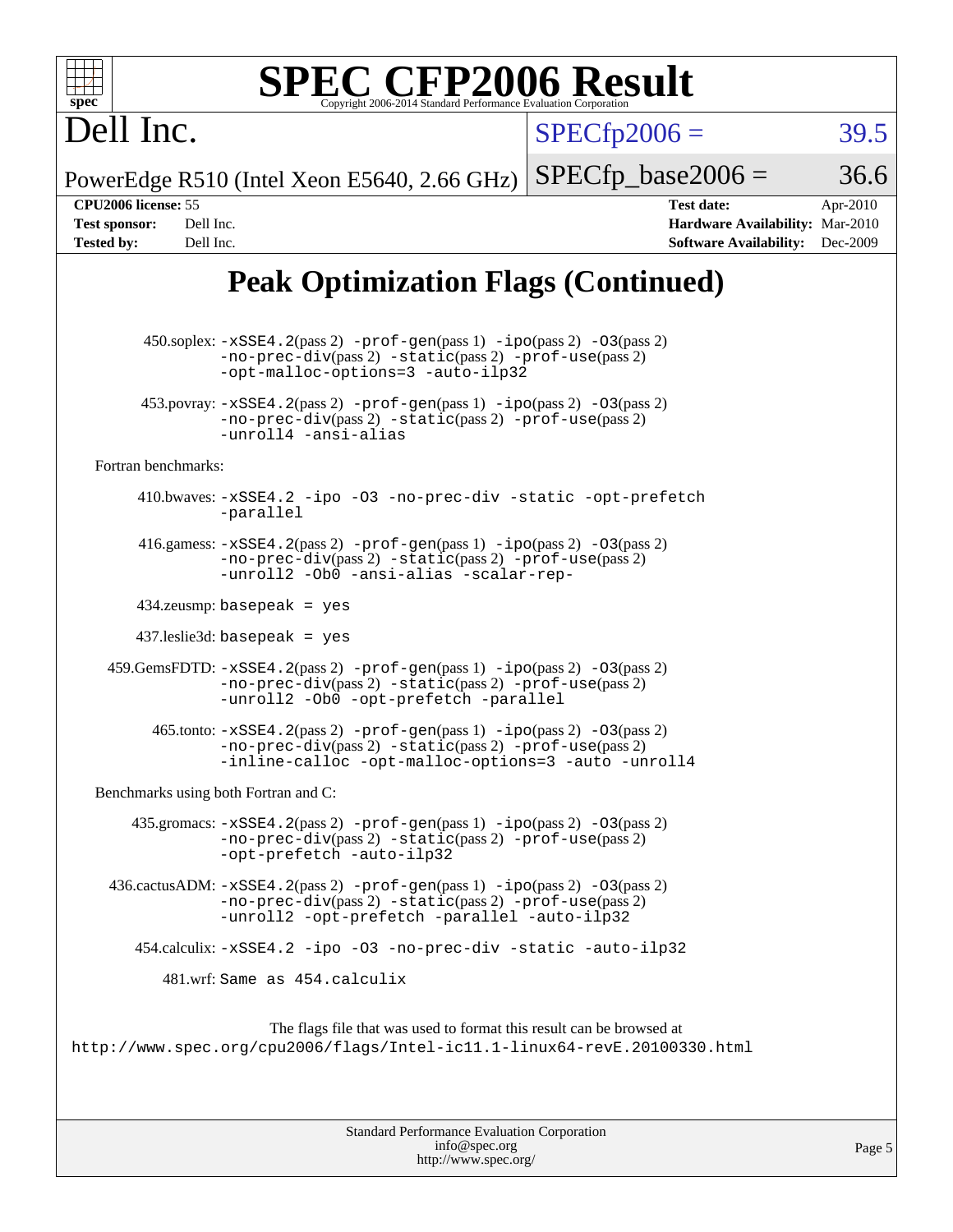| $spec^*$                                                                                   | <b>SPEC CFP2006 Result</b><br>Copyright 2006-2014 Standard Performance Evaluation Corporation                                                                                                                                   |                      |                                                                                       |                      |
|--------------------------------------------------------------------------------------------|---------------------------------------------------------------------------------------------------------------------------------------------------------------------------------------------------------------------------------|----------------------|---------------------------------------------------------------------------------------|----------------------|
| Dell Inc.                                                                                  |                                                                                                                                                                                                                                 | $SPECfp2006 =$       |                                                                                       | 39.5                 |
|                                                                                            | PowerEdge R510 (Intel Xeon E5640, 2.66 GHz)                                                                                                                                                                                     | $SPECfp\_base2006 =$ |                                                                                       | 36.6                 |
| CPU2006 license: 55<br><b>Test sponsor:</b><br>Dell Inc.<br><b>Tested by:</b><br>Dell Inc. |                                                                                                                                                                                                                                 |                      | <b>Test date:</b><br>Hardware Availability: Mar-2010<br><b>Software Availability:</b> | Apr-2010<br>Dec-2009 |
|                                                                                            | <b>Peak Optimization Flags (Continued)</b>                                                                                                                                                                                      |                      |                                                                                       |                      |
|                                                                                            | 450.soplex: -xSSE4.2(pass 2) -prof-gen(pass 1) -ipo(pass 2) -03(pass 2)<br>$-no-prec-div(pass 2) -static(pass 2) -prot-use(pass 2)$<br>-opt-malloc-options=3 -auto-ilp32                                                        |                      |                                                                                       |                      |
|                                                                                            | $453.$ povray: $-xSSE4.2(pass 2) -prod-gen(pass 1) -ipo(pass 2) -O3(pass 2)$<br>-no-prec-div(pass 2) -static(pass 2) -prof-use(pass 2)<br>-unroll4 -ansi-alias                                                                  |                      |                                                                                       |                      |
| Fortran benchmarks:                                                                        |                                                                                                                                                                                                                                 |                      |                                                                                       |                      |
|                                                                                            | 410.bwaves: -xSSE4.2 -ipo -03 -no-prec-div -static -opt-prefetch<br>-parallel                                                                                                                                                   |                      |                                                                                       |                      |
|                                                                                            | 416.gamess: $-xSSE4$ . 2(pass 2) $-prof-gen(pass 1) -ipo(pass 2) -03(pass 2)$<br>-no-prec-div(pass 2) -static(pass 2) -prof-use(pass 2)<br>-unroll2 -Ob0 -ansi-alias -scalar-rep-                                               |                      |                                                                                       |                      |
|                                                                                            | $434$ .zeusmp: basepeak = yes                                                                                                                                                                                                   |                      |                                                                                       |                      |
|                                                                                            | $437$ .leslie $3d$ : basepeak = yes                                                                                                                                                                                             |                      |                                                                                       |                      |
|                                                                                            | $459. \text{GemsFDTD: } -x \text{SSE4}.2(\text{pass 2}) - \text{prof-gen(pass 1)} - \text{ipo(pass 2)} -03(\text{pass 2})$<br>$-no-prec-div(pass 2) -static(pass 2) -prot-use(pass 2)$<br>-unroll2 -Ob0 -opt-prefetch -parallel |                      |                                                                                       |                      |
|                                                                                            | $465$ .tonto: $-xSSE4$ . 2(pass 2) $-prof-gen(pass 1) -ipo(pass 2) -03(pass 2)$<br>-no-prec-div(pass 2) -static(pass 2) -prof-use(pass 2)<br>-inline-calloc -opt-malloc-options=3 -auto -unroll4                                |                      |                                                                                       |                      |
|                                                                                            | Benchmarks using both Fortran and C:                                                                                                                                                                                            |                      |                                                                                       |                      |
|                                                                                            | 435.gromacs: $-xSSE4$ . 2(pass 2) $-prof$ -gen(pass 1) $-ipo$ (pass 2) $-O3$ (pass 2)<br>$-no-prec-div(pass 2) -static(pass 2) -prof-use(pass 2)$<br>-opt-prefetch -auto-ilp32                                                  |                      |                                                                                       |                      |
|                                                                                            | 436.cactusADM: -xSSE4.2(pass 2) -prof-gen(pass 1) -ipo(pass 2) -03(pass 2)<br>-no-prec-div(pass 2) -static(pass 2) -prof-use(pass 2)<br>-unroll2 -opt-prefetch -parallel -auto-ilp32                                            |                      |                                                                                       |                      |
|                                                                                            | 454.calculix: -xSSE4.2 -ipo -03 -no-prec-div -static -auto-ilp32                                                                                                                                                                |                      |                                                                                       |                      |
|                                                                                            | 481.wrf: Same as 454.calculix                                                                                                                                                                                                   |                      |                                                                                       |                      |
|                                                                                            | The flags file that was used to format this result can be browsed at<br>http://www.spec.org/cpu2006/flags/Intel-ic11.1-linux64-revE.20100330.html                                                                               |                      |                                                                                       |                      |

| <b>Standard Performance Evaluation Corporation</b> |  |
|----------------------------------------------------|--|
| info@spec.org                                      |  |
| http://www.spec.org/                               |  |